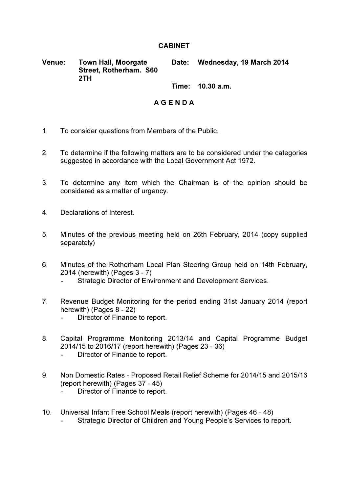## **CABINET**

Venue: Town Hall, Moorgate Street, Rotherham. S60 2TH Date: Wednesday, 19 March 2014

Time: 10.30 a.m.

## A G E N D A

- 1. To consider questions from Members of the Public.
- 2. To determine if the following matters are to be considered under the categories suggested in accordance with the Local Government Act 1972.
- 3. To determine any item which the Chairman is of the opinion should be considered as a matter of urgency.
- 4. Declarations of Interest.
- 5. Minutes of the previous meeting held on 26th February, 2014 (copy supplied separately)
- 6. Minutes of the Rotherham Local Plan Steering Group held on 14th February, 2014 (herewith) (Pages 3 - 7)
	- Strategic Director of Environment and Development Services.
- 7. Revenue Budget Monitoring for the period ending 31st January 2014 (report herewith) (Pages 8 - 22)
	- Director of Finance to report.
- 8. Capital Programme Monitoring 2013/14 and Capital Programme Budget 2014/15 to 2016/17 (report herewith) (Pages 23 - 36)
	- Director of Finance to report.
- 9. Non Domestic Rates Proposed Retail Relief Scheme for 2014/15 and 2015/16 (report herewith) (Pages 37 - 45)
	- Director of Finance to report.
- 10. Universal Infant Free School Meals (report herewith) (Pages 46 48) Strategic Director of Children and Young People's Services to report.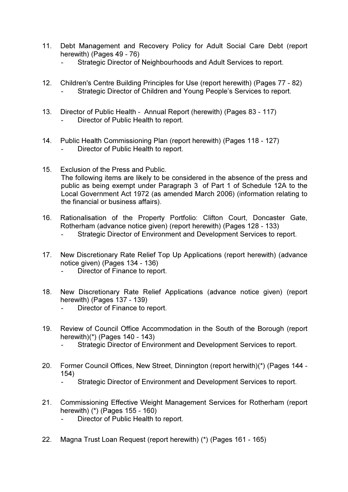- 11. Debt Management and Recovery Policy for Adult Social Care Debt (report herewith) (Pages 49 - 76)
	- Strategic Director of Neighbourhoods and Adult Services to report.
- 12. Children's Centre Building Principles for Use (report herewith) (Pages 77 82) Strategic Director of Children and Young People's Services to report.
- 13. Director of Public Health Annual Report (herewith) (Pages 83 117) Director of Public Health to report.
- 14. Public Health Commissioning Plan (report herewith) (Pages 118 127) Director of Public Health to report.
- 15. Exclusion of the Press and Public. The following items are likely to be considered in the absence of the press and public as being exempt under Paragraph 3 of Part 1 of Schedule 12A to the Local Government Act 1972 (as amended March 2006) (information relating to the financial or business affairs).
- 16. Rationalisation of the Property Portfolio: Clifton Court, Doncaster Gate, Rotherham (advance notice given) (report herewith) (Pages 128 - 133)
	- Strategic Director of Environment and Development Services to report.
- 17. New Discretionary Rate Relief Top Up Applications (report herewith) (advance notice given) (Pages 134 - 136)
	- Director of Finance to report.
- 18. New Discretionary Rate Relief Applications (advance notice given) (report herewith) (Pages 137 - 139)
	- Director of Finance to report.
- 19. Review of Council Office Accommodation in the South of the Borough (report herewith)(\*) (Pages 140 - 143)
	- Strategic Director of Environment and Development Services to report.
- 20. Former Council Offices, New Street, Dinnington (report herwith)(\*) (Pages 144 154)
	- Strategic Director of Environment and Development Services to report.
- 21. Commissioning Effective Weight Management Services for Rotherham (report herewith) (\*) (Pages 155 - 160)
	- Director of Public Health to report.
- 22. Magna Trust Loan Request (report herewith) (\*) (Pages 161 165)